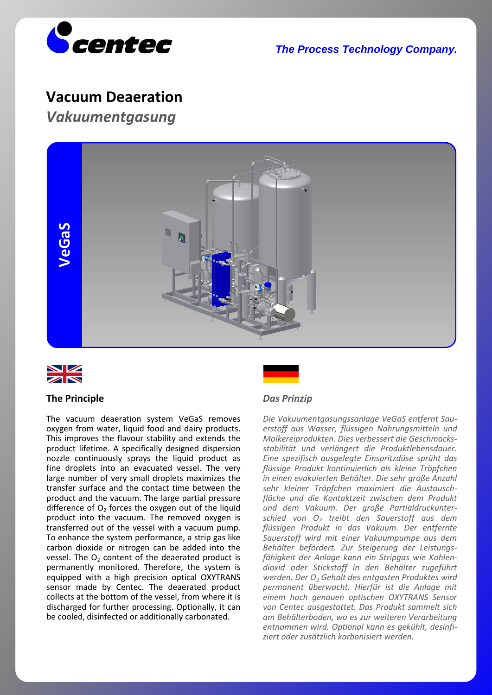

*The Process Technology Company.*

# **Vacuum Deaeration**

*Vakuumentgasung*





### **The Principle**

The vacuum deaeration system VeGaS removes oxygen from water, liquid food and dairy products. This improves the flavour stability and extends the product lifetime. A specifically designed dispersion nozzle continuously sprays the liquid product as fine droplets into an evacuated vessel. The very large number of very small droplets maximizes the transfer surface and the contact time between the product and the vacuum. The large partial pressure difference of  $O<sub>2</sub>$  forces the oxygen out of the liquid product into the vacuum. The removed oxygen is transferred out of the vessel with a vacuum pump. To enhance the system performance, a strip gas like carbon dioxide or nitrogen can be added into the vessel. The  $O<sub>2</sub>$  content of the deaerated product is permanently monitored. Therefore, the system is equipped with a high precision optical OXYTRANS sensor made by Centec. The deaerated product collects at the bottom of the vessel, from where it is discharged for further processing. Optionally, it can be cooled, disinfected or additionally carbonated.



### *Das Prinzip*

*Die Vakuumentgasungssanlage VeGaS entfernt Sauerstoff aus Wasser, flüssigen Nahrungsmitteln und Molkereiprodukten. Dies verbessert die Geschmacksstabilität und verlängert die Produktlebensdauer. Eine spezifisch ausgelegte Einspritzdüse sprüht das flüssige Produkt kontinuierlich als kleine Tröpfchen in einen evakuierten Behälter. Die sehr große Anzahl sehr kleiner Tröpfchen maximiert die Austauschfläche und die Kontaktzeit zwischen dem Produkt und dem Vakuum. Der große Partialdruckunterschied von O<sup>2</sup> treibt den Sauerstoff aus dem flüssigen Produkt in das Vakuum. Der entfernte Sauerstoff wird mit einer Vakuumpumpe aus dem Behälter befördert. Zur Steigerung der Leistungsfähigkeit der Anlage kann ein Stripgas wie Kohlendioxid oder Stickstoff in den Behälter zugeführt werden. Der O<sup>2</sup> Gehalt des entgasten Produktes wird permanent überwacht. Hierfür ist die Anlage mit einem hoch genauen optischen OXYTRANS Sensor von Centec ausgestattet. Das Produkt sammelt sich am Behälterboden, wo es zur weiteren Verarbeitung entnommen wird. Optional kann es gekühlt, desinfiziert oder zusätzlich karbonisiert werden.*